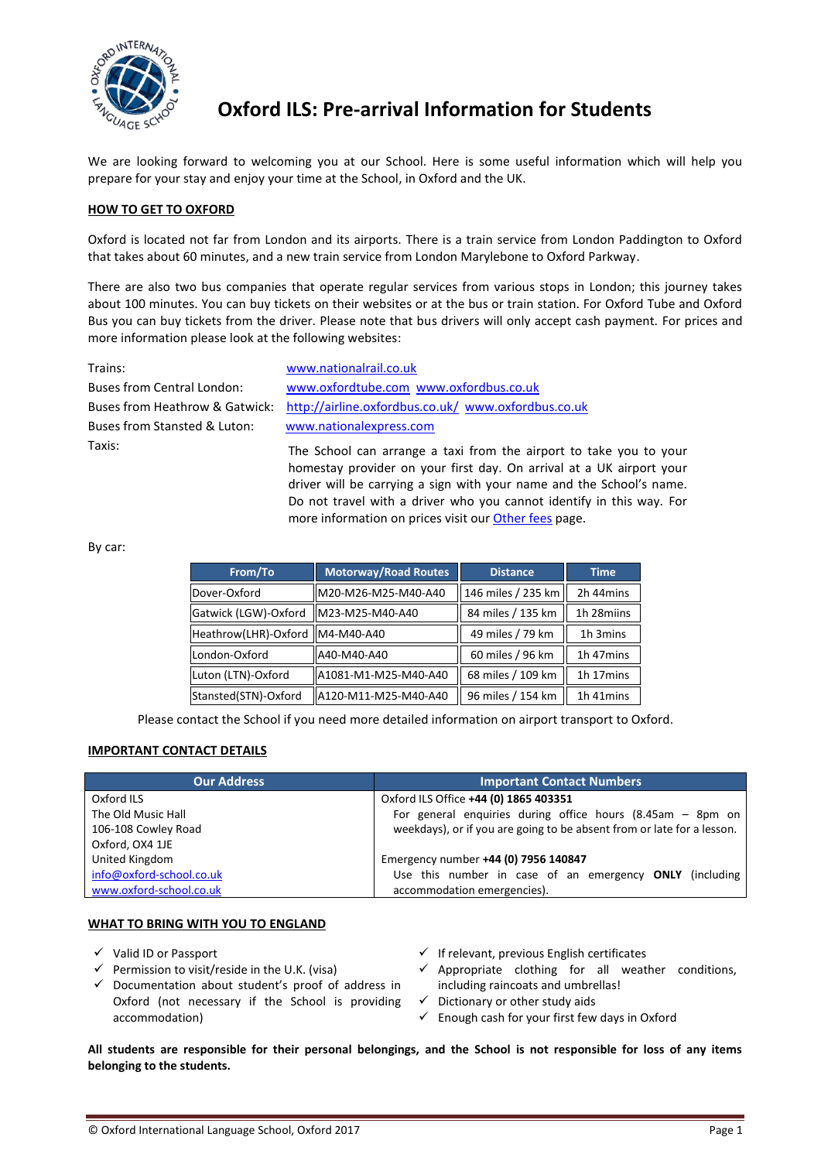

# **Oxford ILS: Pre-arrival Information for Students**

We are looking forward to welcoming you at our School. Here is some useful information which will help you prepare for your stay and enjoy your time at the School, in Oxford and the UK.

## **HOW TO GET TO OXFORD**

Oxford is located not far from London and its airports. There is a train service from London Paddington to Oxford that takes about 60 minutes, and a new train service from London Marylebone to Oxford Parkway.

There are also two bus companies that operate regular services from various stops in London; this journey takes about 100 minutes. You can buy tickets on their websites or at the bus or train station. For Oxford Tube and Oxford Bus you can buy tickets from the driver. Please note that bus drivers will only accept cash payment. For prices and more information please look at the following websites:

Buses from Stansted & Luton: [www.nationalexpress.com](http://www.nationalexpress.com/) Taxis:

Trains: [www.nationalrail.co.uk](http://www.nationalrail.co.uk/) Buses from Central London: [www.oxfordtube.com](http://www.oxfordtube.com/) [www.oxfordbus.co.uk](http://www.oxfordbus.co.uk/) Buses from Heathrow & Gatwick: <http://airline.oxfordbus.co.uk/>[www.oxfordbus.co.uk](http://www.oxfordbus.co.uk/)

The School can arrange a taxi from the airport to take you to your homestay provider on your first day. On arrival at a UK airport your driver will be carrying a sign with your name and the School's name. Do not travel with a driver who you cannot identify in this way. For more information on prices visit our [Other fees](http://www.oxford-school.co.uk/pages/pv.asp?p=oxfordils97) page.

By car:

| From/To                         | Motorway/Road Routes | <b>Distance</b>    | <b>Time</b> |
|---------------------------------|----------------------|--------------------|-------------|
| Dover-Oxford                    | M20-M26-M25-M40-A40  | 146 miles / 235 km | 2h 44mins   |
| Gatwick (LGW)-Oxford            | M23-M25-M40-A40      | 84 miles / 135 km  | 1h 28miins  |
| Heathrow(LHR)-Oxford M4-M40-A40 |                      | 49 miles / 79 km   | 1h 3mins    |
| London-Oxford                   | A40-M40-A40          | 60 miles / 96 km   | 1h 47mins   |
| Luton (LTN)-Oxford              | A1081-M1-M25-M40-A40 | 68 miles / 109 km  | 1h 17mins   |
| Stansted(STN)-Oxford            | A120-M11-M25-M40-A40 | 96 miles / 154 km  | 1h 41mins   |

Please contact the School if you need more detailed information on airport transport to Oxford.

## **IMPORTANT CONTACT DETAILS**

| <b>Our Address</b>       | <b>Important Contact Numbers</b>                                       |
|--------------------------|------------------------------------------------------------------------|
| Oxford ILS               | Oxford ILS Office +44 (0) 1865 403351                                  |
| The Old Music Hall       | For general enquiries during office hours (8.45am $-$ 8pm on           |
| 106-108 Cowley Road      | weekdays), or if you are going to be absent from or late for a lesson. |
| Oxford, OX4 1JE          |                                                                        |
| United Kingdom           | Emergency number +44 (0) 7956 140847                                   |
| info@oxford-school.co.uk | Use this number in case of an emergency ONLY (including                |
| www.oxford-school.co.uk  | accommodation emergencies).                                            |

## **WHAT TO BRING WITH YOU TO ENGLAND**

 $\checkmark$  Valid ID or Passport

- $\checkmark$  Permission to visit/reside in the U.K. (visa)
- $\checkmark$  Documentation about student's proof of address in Oxford (not necessary if the School is providing accommodation)
- $\checkmark$  If relevant, previous English certificates
- $\checkmark$  Appropriate clothing for all weather conditions, including raincoats and umbrellas!
- $\checkmark$  Dictionary or other study aids
- $\checkmark$  Enough cash for your first few days in Oxford

**All students are responsible for their personal belongings, and the School is not responsible for loss of any items belonging to the students.**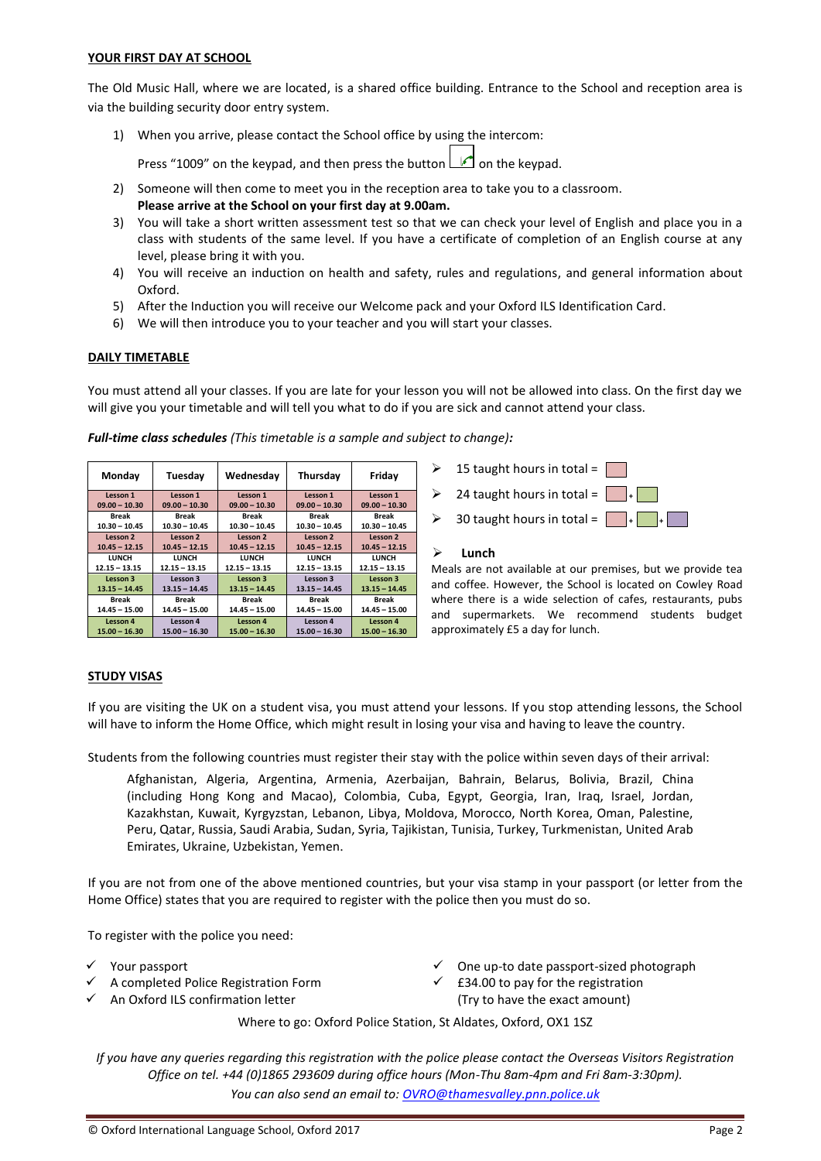#### **YOUR FIRST DAY AT SCHOOL**

The Old Music Hall, where we are located, is a shared office building. Entrance to the School and reception area is via the building security door entry system.

1) When you arrive, please contact the School office by using the intercom:

Press "1009" on the keypad, and then press the button  $\Box$  on the keypad.

- 2) Someone will then come to meet you in the reception area to take you to a classroom. **Please arrive at the School on your first day at 9.00am.**
- 3) You will take a short written assessment test so that we can check your level of English and place you in a class with students of the same level. If you have a certificate of completion of an English course at any level, please bring it with you.
- 4) You will receive an induction on health and safety, rules and regulations, and general information about Oxford.
- 5) After the Induction you will receive our Welcome pack and your Oxford ILS Identification Card.
- 6) We will then introduce you to your teacher and you will start your classes.

## **DAILY TIMETABLE**

You must attend all your classes. If you are late for your lesson you will not be allowed into class. On the first day we will give you your timetable and will tell you what to do if you are sick and cannot attend your class.

| Monday          | Tuesday         | Wednesday       | Thursday        | Friday          |
|-----------------|-----------------|-----------------|-----------------|-----------------|
| Lesson 1        | Lesson 1        | Lesson 1        | Lesson 1        | Lesson 1        |
| $09.00 - 10.30$ | $09.00 - 10.30$ | $09.00 - 10.30$ | $09.00 - 10.30$ | $09.00 - 10.30$ |
| Break           | <b>Break</b>    | Break           | Break           | <b>Break</b>    |
| $10.30 - 10.45$ | $10.30 - 10.45$ | $10.30 - 10.45$ | $10.30 - 10.45$ | $10.30 - 10.45$ |
| Lesson 2        | Lesson 2        | Lesson 2        | Lesson 2        | Lesson 2        |
| $10.45 - 12.15$ | $10.45 - 12.15$ | $10.45 - 12.15$ | $10.45 - 12.15$ | $10.45 - 12.15$ |
| <b>LUNCH</b>    | <b>LUNCH</b>    | LUNCH           | <b>LUNCH</b>    | <b>LUNCH</b>    |
| $12.15 - 13.15$ | $12.15 - 13.15$ | $12.15 - 13.15$ | $12.15 - 13.15$ | $12.15 - 13.15$ |
| Lesson 3        | Lesson 3        | Lesson 3        | Lesson 3        | Lesson 3        |
| $13.15 - 14.45$ | $13.15 - 14.45$ | $13.15 - 14.45$ | $13.15 - 14.45$ | $13.15 - 14.45$ |
| Break           | <b>Break</b>    | Break           | Break           | <b>Break</b>    |
| $14.45 - 15.00$ | $14.45 - 15.00$ | $14.45 - 15.00$ | $14.45 - 15.00$ | $14.45 - 15.00$ |
| Lesson 4        | Lesson 4        | Lesson 4        | Lesson 4        | Lesson 4        |
| $15.00 - 16.30$ | $15.00 - 16.30$ | $15.00 - 16.30$ | $15.00 - 16.30$ | $15.00 - 16.30$ |

*Full-time class schedules (This timetable is a sample and subject to change):*



#### **Lunch**

Meals are not available at our premises, but we provide tea and coffee. However, the School is located on Cowley Road where there is a wide selection of cafes, restaurants, pubs and supermarkets. We recommend students budget approximately £5 a day for lunch.

## **STUDY VISAS**

If you are visiting the UK on a student visa, you must attend your lessons. If you stop attending lessons, the School will have to inform the Home Office, which might result in losing your visa and having to leave the country.

Students from the following countries must register their stay with the police within seven days of their arrival:

Afghanistan, Algeria, Argentina, Armenia, Azerbaijan, Bahrain, Belarus, Bolivia, Brazil, China (including Hong Kong and Macao), Colombia, Cuba, Egypt, Georgia, Iran, Iraq, Israel, Jordan, Kazakhstan, Kuwait, Kyrgyzstan, Lebanon, Libya, Moldova, Morocco, North Korea, Oman, Palestine, Peru, Qatar, Russia, Saudi Arabia, Sudan, Syria, Tajikistan, Tunisia, Turkey, Turkmenistan, United Arab Emirates, Ukraine, Uzbekistan, Yemen.

If you are not from one of the above mentioned countries, but your visa stamp in your passport (or letter from the Home Office) states that you are required to register with the police then you must do so.

To register with the police you need:

- Your passport
- A completed Police Registration Form
- $\checkmark$  An Oxford ILS confirmation letter
- $\checkmark$  One up-to date passport-sized photograph
- $\checkmark$  £34.00 to pay for the registration (Try to have the exact amount)

Where to go: Oxford Police Station, St Aldates, Oxford, OX1 1SZ

*If you have any queries regarding this registration with the police please contact the Overseas Visitors Registration Office on tel. +44 (0)1865 293609 during office hours (Mon-Thu 8am-4pm and Fri 8am-3:30pm). You can also send an email to: [OVRO@thamesvalley.pnn.police.uk](mailto:OVRO@thamesvalley.pnn.police.uk)*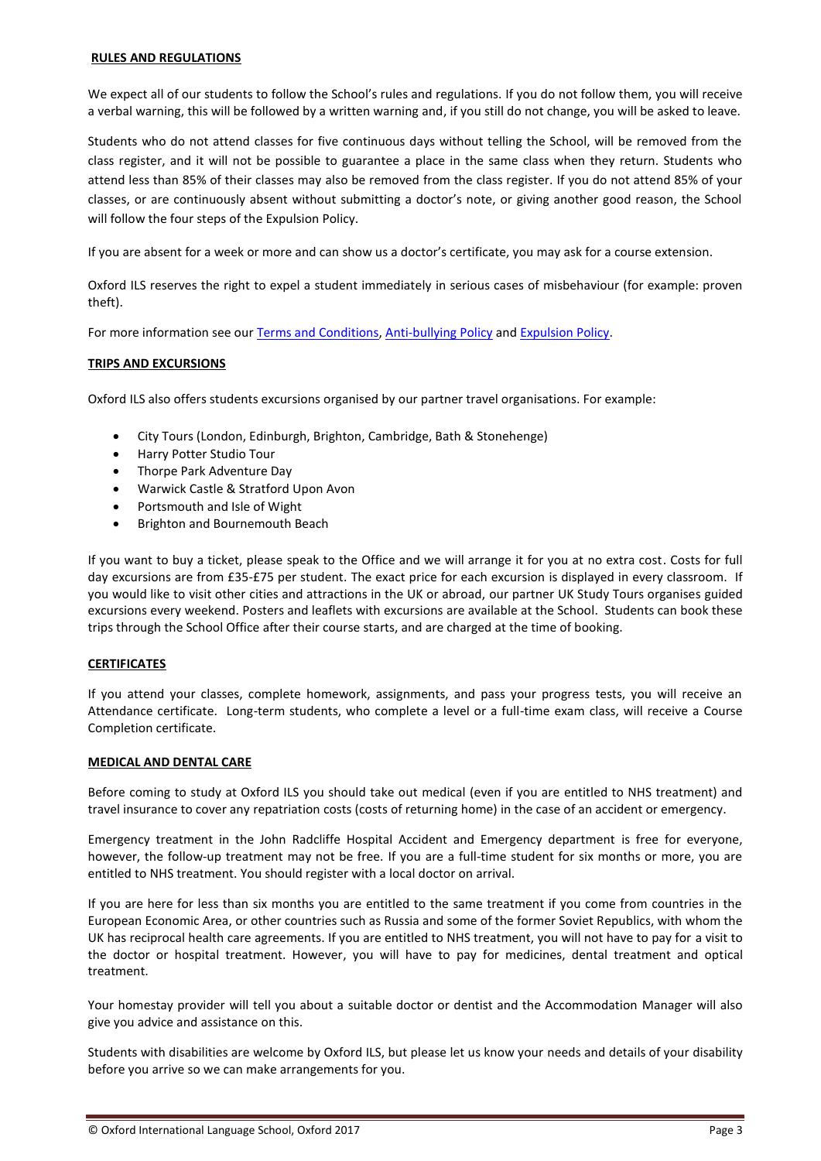#### **RULES AND REGULATIONS**

We expect all of our students to follow the School's rules and regulations. If you do not follow them, you will receive a verbal warning, this will be followed by a written warning and, if you still do not change, you will be asked to leave.

Students who do not attend classes for five continuous days without telling the School, will be removed from the class register, and it will not be possible to guarantee a place in the same class when they return. Students who attend less than 85% of their classes may also be removed from the class register. If you do not attend 85% of your classes, or are continuously absent without submitting a doctor's note, or giving another good reason, the School will follow the four steps of the Expulsion Policy.

If you are absent for a week or more and can show us a doctor's certificate, you may ask for a course extension.

Oxford ILS reserves the right to expel a student immediately in serious cases of misbehaviour (for example: proven theft).

For more information see our [Terms and Conditions, Anti-bullying Policy](http://www.oxford-school.co.uk/pages/pv.asp?p=oxfordils106) an[d Expulsion Policy.](http://www.oxford-school.co.uk/pages/pv.asp?p=oxfordils106)

## **TRIPS AND EXCURSIONS**

Oxford ILS also offers students excursions organised by our partner travel organisations. For example:

- City Tours (London, Edinburgh, Brighton, Cambridge, Bath & Stonehenge)
- Harry Potter Studio Tour
- Thorpe Park Adventure Day
- Warwick Castle & Stratford Upon Avon
- Portsmouth and Isle of Wight
- Brighton and Bournemouth Beach

If you want to buy a ticket, please speak to the Office and we will arrange it for you at no extra cost. Costs for full day excursions are from £35-£75 per student. The exact price for each excursion is displayed in every classroom. If you would like to visit other cities and attractions in the UK or abroad, our partner UK Study Tours organises guided excursions every weekend. Posters and leaflets with excursions are available at the School. Students can book these trips through the School Office after their course starts, and are charged at the time of booking.

## **CERTIFICATES**

If you attend your classes, complete homework, assignments, and pass your progress tests, you will receive an Attendance certificate. Long-term students, who complete a level or a full-time exam class, will receive a Course Completion certificate.

## **MEDICAL AND DENTAL CARE**

Before coming to study at Oxford ILS you should take out medical (even if you are entitled to NHS treatment) and travel insurance to cover any repatriation costs (costs of returning home) in the case of an accident or emergency.

Emergency treatment in the John Radcliffe Hospital Accident and Emergency department is free for everyone, however, the follow-up treatment may not be free. If you are a full-time student for six months or more, you are entitled to NHS treatment. You should register with a local doctor on arrival.

If you are here for less than six months you are entitled to the same treatment if you come from countries in the European Economic Area, or other countries such as Russia and some of the former Soviet Republics, with whom the UK has reciprocal health care agreements. If you are entitled to NHS treatment, you will not have to pay for a visit to the doctor or hospital treatment. However, you will have to pay for medicines, dental treatment and optical treatment.

Your homestay provider will tell you about a suitable doctor or dentist and the Accommodation Manager will also give you advice and assistance on this.

Students with disabilities are welcome by Oxford ILS, but please let us know your needs and details of your disability before you arrive so we can make arrangements for you.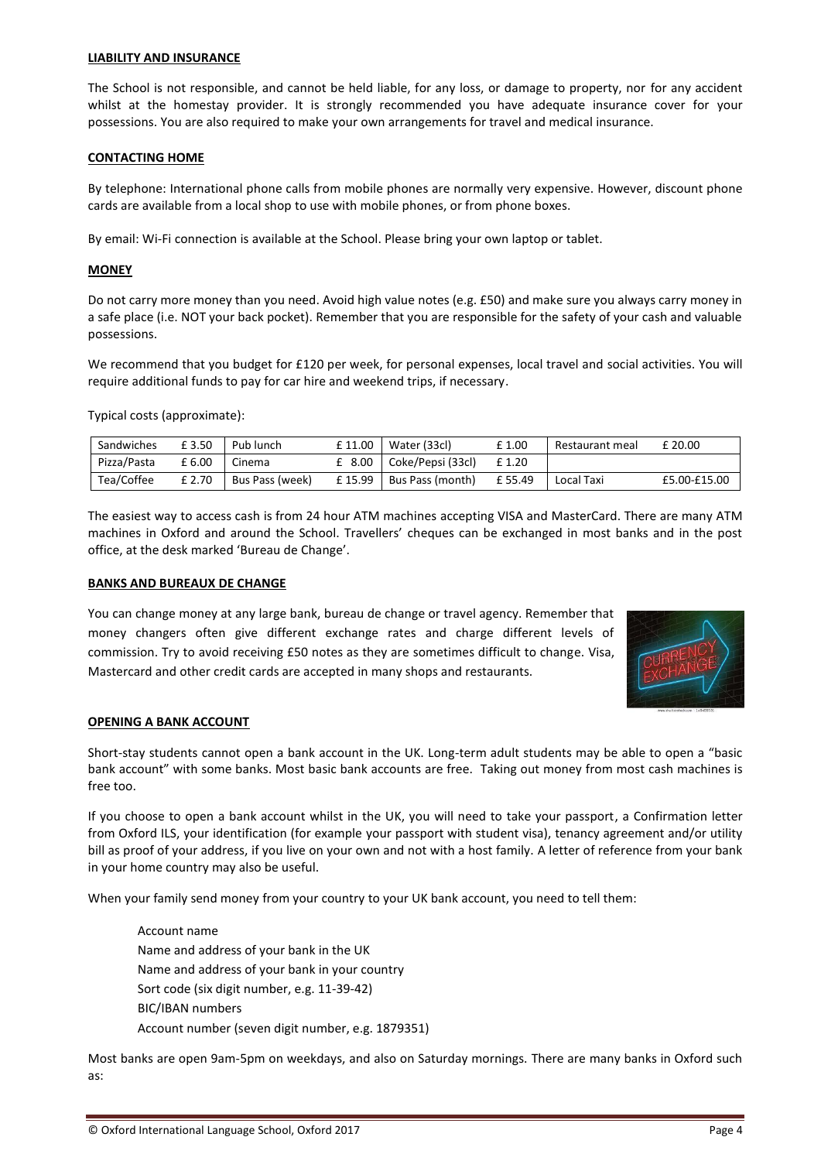#### **LIABILITY AND INSURANCE**

The School is not responsible, and cannot be held liable, for any loss, or damage to property, nor for any accident whilst at the homestay provider. It is strongly recommended you have adequate insurance cover for your possessions. You are also required to make your own arrangements for travel and medical insurance.

#### **CONTACTING HOME**

By telephone: International phone calls from mobile phones are normally very expensive. However, discount phone cards are available from a local shop to use with mobile phones, or from phone boxes.

By email: Wi-Fi connection is available at the School. Please bring your own laptop or tablet.

#### **MONEY**

Do not carry more money than you need. Avoid high value notes (e.g. £50) and make sure you always carry money in a safe place (i.e. NOT your back pocket). Remember that you are responsible for the safety of your cash and valuable possessions.

We recommend that you budget for £120 per week, for personal expenses, local travel and social activities. You will require additional funds to pay for car hire and weekend trips, if necessary.

Typical costs (approximate):

| Sandwiches  | £ 3.50 | Pub lunch       | £11.00         | Water (33cl)            | £1.00  | Restaurant meal | £ 20.00      |
|-------------|--------|-----------------|----------------|-------------------------|--------|-----------------|--------------|
| Pizza/Pasta | £6.00  | Cinema          | $\degree$ 8.00 | Coke/Pepsi (33cl)       | £1.20  |                 |              |
| Tea/Coffee  | £ 2.70 | Bus Pass (week) | £15.99         | <b>Bus Pass (month)</b> | £55.49 | Local Taxi      | £5.00-£15.00 |

The easiest way to access cash is from 24 hour ATM machines accepting VISA and MasterCard. There are many ATM machines in Oxford and around the School. Travellers' cheques can be exchanged in most banks and in the post office, at the desk marked 'Bureau de Change'.

#### **BANKS AND BUREAUX DE CHANGE**

You can change money at any large bank, bureau de change or travel agency. Remember that money changers often give different exchange rates and charge different levels of commission. Try to avoid receiving £50 notes as they are sometimes difficult to change. Visa, Mastercard and other credit cards are accepted in many shops and restaurants.



## **OPENING A BANK ACCOUNT**

Short-stay students cannot open a bank account in the UK. Long-term adult students may be able to open a "basic bank account" with some banks. Most basic bank accounts are free. Taking out money from most cash machines is free too.

If you choose to open a bank account whilst in the UK, you will need to take your passport, a Confirmation letter from Oxford ILS, your identification (for example your passport with student visa), tenancy agreement and/or utility bill as proof of your address, if you live on your own and not with a host family. A letter of reference from your bank in your home country may also be useful.

When your family send money from your country to your UK bank account, you need to tell them:

Account name Name and address of your bank in the UK Name and address of your bank in your country Sort code (six digit number, e.g. 11-39-42) BIC/IBAN numbers Account number (seven digit number, e.g. 1879351)

Most banks are open 9am-5pm on weekdays, and also on Saturday mornings. There are many banks in Oxford such as: